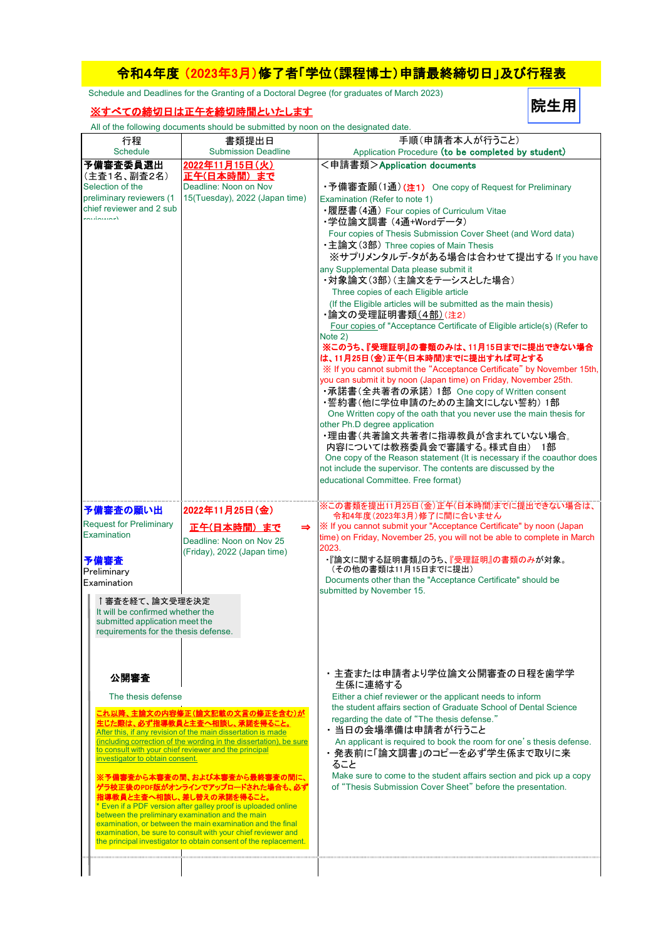## 令和4年度 (2023年3月)修了者「学位(課程博士)申請最終締切日」及び行程表

院生用

Schedule and Deadlines for the Granting of a Doctoral Degree (for graduates of March 2023)

## ※すべての締切日は正午を締切時間といたします

All of the following documents should be submitted by noon on the designated date.

|                                                                    | 書類提出日                                                                                                                       | 手順(申請者本人が行うこと)                                                                        |
|--------------------------------------------------------------------|-----------------------------------------------------------------------------------------------------------------------------|---------------------------------------------------------------------------------------|
| 行程<br><b>Schedule</b>                                              | <b>Submission Deadline</b>                                                                                                  | Application Procedure (to be completed by student)                                    |
| 予備審査委員選出                                                           | 2022年11月15日(火)                                                                                                              | <申請書類>Application documents                                                           |
| (主査1名、副査2名)                                                        | <u>正午(日本時間)まで</u>                                                                                                           |                                                                                       |
| Selection of the                                                   | Deadline: Noon on Nov                                                                                                       | •予備審査願(1通) (注1) One copy of Request for Preliminary                                   |
| preliminary reviewers (1                                           | 15(Tuesday), 2022 (Japan time)                                                                                              | Examination (Refer to note 1)                                                         |
| chief reviewer and 2 sub                                           |                                                                                                                             | •履歴書(4通) Four copies of Curriculum Vitae                                              |
| <b>Alamandon</b>                                                   |                                                                                                                             | ・学位論文調書 (4通+Wordデータ)                                                                  |
|                                                                    |                                                                                                                             | Four copies of Thesis Submission Cover Sheet (and Word data)                          |
|                                                                    |                                                                                                                             | •主論文(3部) Three copies of Main Thesis                                                  |
|                                                                    |                                                                                                                             | ※サプリメンタルデ-タがある場合は合わせて提出する If you have                                                 |
|                                                                    |                                                                                                                             |                                                                                       |
|                                                                    |                                                                                                                             | any Supplemental Data please submit it                                                |
|                                                                    |                                                                                                                             | ・対象論文(3部)(主論文をテーシスとした場合)                                                              |
|                                                                    |                                                                                                                             | Three copies of each Eligible article                                                 |
|                                                                    |                                                                                                                             | (If the Eligible articles will be submitted as the main thesis)<br>・論文の受理証明書類(4部)(注2) |
|                                                                    |                                                                                                                             | Four copies of "Acceptance Certificate of Eligible article(s) (Refer to               |
|                                                                    |                                                                                                                             | Note 2)                                                                               |
|                                                                    |                                                                                                                             | ※このうち、『受理証明』の書類のみは、11月15日までに提出できない場合                                                  |
|                                                                    |                                                                                                                             | は、11月25日(金)正午(日本時間)までに提出すれば可とする                                                       |
|                                                                    |                                                                                                                             | ※ If you cannot submit the "Acceptance Certificate" by November 15th,                 |
|                                                                    |                                                                                                                             | you can submit it by noon (Japan time) on Friday, November 25th.                      |
|                                                                    |                                                                                                                             | •承諾書(全共著者の承諾) 1部 One copy of Written consent                                          |
|                                                                    |                                                                                                                             | ・誓約書(他に学位申請のための主論文にしない誓約)1部                                                           |
|                                                                    |                                                                                                                             | One Written copy of the oath that you never use the main thesis for                   |
|                                                                    |                                                                                                                             | other Ph.D degree application                                                         |
|                                                                    |                                                                                                                             | ・理由書(共著論文共著者に指導教員が含まれていない場合。                                                          |
|                                                                    |                                                                                                                             | 内容については教務委員会で審議する。様式自由) 1部                                                            |
|                                                                    |                                                                                                                             | One copy of the Reason statement (It is necessary if the coauthor does                |
|                                                                    |                                                                                                                             | not include the supervisor. The contents are discussed by the                         |
|                                                                    |                                                                                                                             | educational Committee. Free format)                                                   |
|                                                                    |                                                                                                                             |                                                                                       |
| 予備審査の願い出                                                           | 2022年11月25日(金)                                                                                                              | ※この書類を提出11月25日(金)正午(日本時間)までに提出できない場合は、<br>令和4年度(2023年3月)修了に間に合いません                    |
| <b>Request for Preliminary</b>                                     | 正午(日本時間) まで<br>$\Rightarrow$                                                                                                | ※ If you cannot submit your "Acceptance Certificate" by noon (Japan                   |
| Examination                                                        |                                                                                                                             | time) on Friday, November 25, you will not be able to complete in March               |
|                                                                    | Deadline: Noon on Nov 25                                                                                                    | 2023.                                                                                 |
| 予備審査                                                               | (Friday), 2022 (Japan time)                                                                                                 | ・『論文に関する証明書類』のうち、『受理証明』の書類のみが対象。                                                      |
| Preliminary                                                        |                                                                                                                             | (その他の書類は11月15日までに提出)                                                                  |
| Examination                                                        |                                                                                                                             | Documents other than the "Acceptance Certificate" should be                           |
|                                                                    |                                                                                                                             | submitted by November 15.                                                             |
| ↑審査を経て、論文受理を決定                                                     |                                                                                                                             |                                                                                       |
| It will be confirmed whether the<br>submitted application meet the |                                                                                                                             |                                                                                       |
| requirements for the thesis defense.                               |                                                                                                                             |                                                                                       |
|                                                                    |                                                                                                                             |                                                                                       |
|                                                                    |                                                                                                                             |                                                                                       |
|                                                                    |                                                                                                                             |                                                                                       |
| 公開審査                                                               |                                                                                                                             | ・主査または申請者より学位論文公開審査の日程を歯学学                                                            |
|                                                                    |                                                                                                                             | 生係に連絡する                                                                               |
| The thesis defense                                                 |                                                                                                                             | Either a chief reviewer or the applicant needs to inform                              |
|                                                                    | これ以降、主論文の内容修正(論文記載の文言の修正を含む)が                                                                                               | the student affairs section of Graduate School of Dental Science                      |
|                                                                    | 生じた際は、必ず指導教員と主査へ相談し、承諾を得ること。                                                                                                | regarding the date of "The thesis defense."                                           |
|                                                                    | After this, if any revision of the main dissertation is made                                                                | ・当日の会場準備は申請者が行うこと                                                                     |
|                                                                    | (including correction of the wording in the dissertation), be sure<br>to consult with your chief reviewer and the principal | An applicant is required to book the room for one's thesis defense.                   |
| investigator to obtain consent.                                    |                                                                                                                             | ・発表前に「論文調書」のコピーを必ず学生係まで取りに来                                                           |
|                                                                    |                                                                                                                             | ること<br>Make sure to come to the student affairs section and pick up a copy            |
|                                                                    | ※予備審査から本審査の間、および本審査から最終審査の間に、<br>ゲラ校正後のPDF版がオンラインでアップロードされた場合も、必ず                                                           | of "Thesis Submission Cover Sheet" before the presentation.                           |
|                                                                    | 指導教員と主査へ相談し、差し替えの承諾を得ること。                                                                                                   |                                                                                       |
|                                                                    | * Even if a PDF version after galley proof is uploaded online                                                               |                                                                                       |
|                                                                    | between the preliminary examination and the main                                                                            |                                                                                       |
|                                                                    | examination, or between the main examination and the final<br>examination, be sure to consult with your chief reviewer and  |                                                                                       |
| the principal investigator to obtain consent of the replacement.   |                                                                                                                             |                                                                                       |
|                                                                    |                                                                                                                             |                                                                                       |
|                                                                    |                                                                                                                             |                                                                                       |
|                                                                    |                                                                                                                             |                                                                                       |